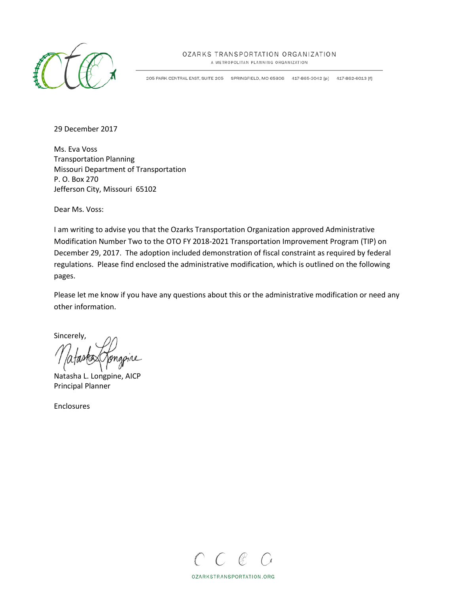

## OZARKS TRANSPORTATION ORGANIZATION

A METROPOLITAN PLANNING ORGANIZATION

205 PARK CENTRAL EAST, SUITE 205 SPRINGFIELD, MO 65806 417-865-3042 [p] 417-862-6013 [f]

29 December 2017

Ms. Eva Voss Transportation Planning Missouri Department of Transportation P. O. Box 270 Jefferson City, Missouri 65102

Dear Ms. Voss:

I am writing to advise you that the Ozarks Transportation Organization approved Administrative Modification Number Two to the OTO FY 2018-2021 Transportation Improvement Program (TIP) on December 29, 2017. The adoption included demonstration of fiscal constraint as required by federal regulations. Please find enclosed the administrative modification, which is outlined on the following pages.

Please let me know if you have any questions about this or the administrative modification or need any other information.

Sincerely,

Natasha L. Longpine, AICP Principal Planner

Enclosures



OZARKSTRANSPORTATION.ORG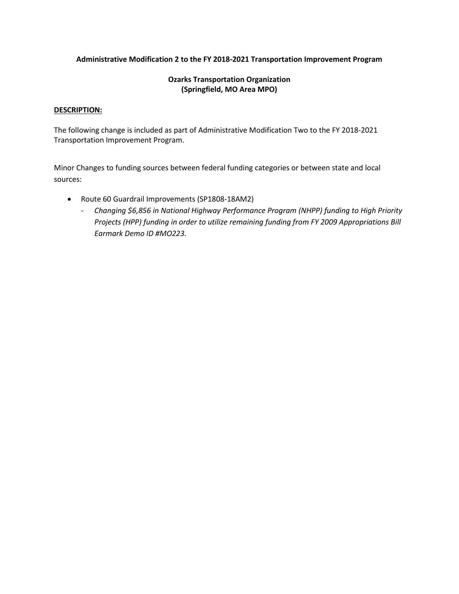## **Administrative Modification 2 to the FY 2018-2021 Transportation Improvement Program**

## **Ozarks Transportation Organization (Springfield, MO Area MPO)**

## **DESCRIPTION:**

The following change is included as part of Administrative Modification Two to the FY 2018-2021 Transportation Improvement Program.

Minor Changes to funding sources between federal funding categories or between state and local sources:

- Route 60 Guardrail Improvements (SP1808-18AM2)
	- *Changing \$6,856 in National Highway Performance Program (NHPP) funding to High Priority Projects (HPP) funding in order to utilize remaining funding from FY 2009 Appropriations Bill Earmark Demo ID #MO223.*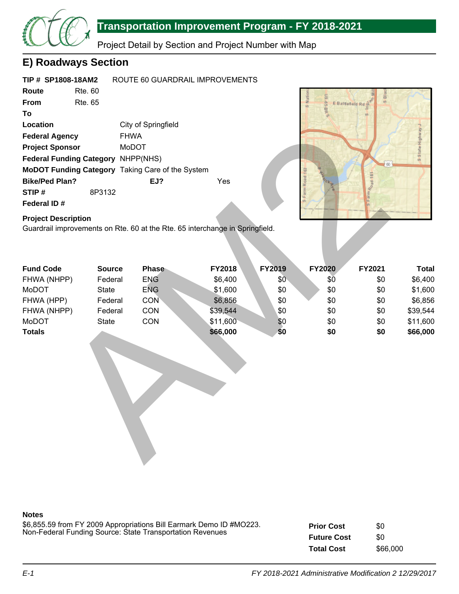

# **Transportation Improvement Program - FY 2018-2021**

Project Detail by Section and Project Number with Map

## **E) Roadways Section**

| TIP # SP1808-18AM2                                      |        |                     | ROUTE 60 GUARDRAIL IMPROVEMENTS |
|---------------------------------------------------------|--------|---------------------|---------------------------------|
| Route<br>Rte. 60                                        |        |                     |                                 |
| <b>From</b><br>Rte 65                                   |        |                     |                                 |
| Τo                                                      |        |                     |                                 |
| Location                                                |        | City of Springfield |                                 |
| <b>Federal Agency</b>                                   |        | <b>FHWA</b>         |                                 |
| <b>Project Sponsor</b>                                  |        | MoDOT               |                                 |
| Federal Funding Category NHPP(NHS)                      |        |                     |                                 |
| <b>MoDOT Funding Category Taking Care of the System</b> |        |                     |                                 |
| <b>Bike/Ped Plan?</b>                                   |        | EJ?                 | Yes                             |
| STIP#                                                   | 8P3132 |                     |                                 |
| Federal ID#                                             |        |                     |                                 |



## **Project Description**

| <b>Federal Agency</b>                                                                                      | <b>FHWA</b>   |              |          |        |               |        |                |
|------------------------------------------------------------------------------------------------------------|---------------|--------------|----------|--------|---------------|--------|----------------|
| <b>Project Sponsor</b>                                                                                     | MoDOT         |              |          |        |               |        | S State Highwa |
| <b>Federal Funding Category</b>                                                                            |               | NHPP(NHS)    |          |        |               |        |                |
| MoDOT Funding Category Taking Care of the System                                                           |               |              |          |        |               | 60     |                |
| <b>Bike/Ped Plan?</b>                                                                                      |               | EJ?          | Yes      |        |               |        |                |
| STIP#                                                                                                      | 8P3132        |              |          |        |               |        |                |
| Federal ID#                                                                                                |               |              |          |        |               |        |                |
|                                                                                                            |               |              |          |        |               |        |                |
| <b>Project Description</b><br>Guardrail improvements on Rte. 60 at the Rte. 65 interchange in Springfield. |               |              |          |        |               |        |                |
|                                                                                                            |               |              |          |        |               |        |                |
|                                                                                                            |               |              |          |        |               |        |                |
|                                                                                                            |               |              |          |        |               |        |                |
| <b>Fund Code</b>                                                                                           | <b>Source</b> | <b>Phase</b> | FY2018   | FY2019 | <b>FY2020</b> | FY2021 | <b>Total</b>   |
| FHWA (NHPP)                                                                                                | Federal       | <b>ENG</b>   | \$6,400  | \$0    | \$Ō           | \$0    | \$6,400        |
| MoDOT                                                                                                      | State         | <b>ENG</b>   | \$1,600  | \$0    | \$0           | \$0    | \$1,600        |
| FHWA (HPP)                                                                                                 | Federal       | <b>CON</b>   | \$6,856  | \$0    | \$0           | \$0    | \$6,856        |
| FHWA (NHPP)                                                                                                | Federal       | CON          | \$39,544 | \$0    | \$0           | \$0    | \$39,544       |
| MoDOT                                                                                                      | State         | CON          | \$11,600 | \$0    | \$0           | \$0    | \$11,600       |
| <b>Totals</b>                                                                                              |               |              | \$66,000 | \$0    | \$0           | \$0    | \$66,000       |
|                                                                                                            |               |              |          |        |               |        |                |
|                                                                                                            |               |              |          |        |               |        |                |
|                                                                                                            |               |              |          |        |               |        |                |
|                                                                                                            |               |              |          |        |               |        |                |
|                                                                                                            |               |              |          |        |               |        |                |
|                                                                                                            |               |              |          |        |               |        |                |
|                                                                                                            |               |              |          |        |               |        |                |
|                                                                                                            |               |              |          |        |               |        |                |
|                                                                                                            |               |              |          |        |               |        |                |
|                                                                                                            |               |              |          |        |               |        |                |
|                                                                                                            |               |              |          |        |               |        |                |
|                                                                                                            |               |              |          |        |               |        |                |

## **Notes**

\$6,855.59 from FY 2009 Appropriations Bill Earmark Demo ID #MO223. Non-Federal Funding Source: State Transportation Revenues

**Prior Cost Future Cost Total Cost** \$0 \$0 \$66,000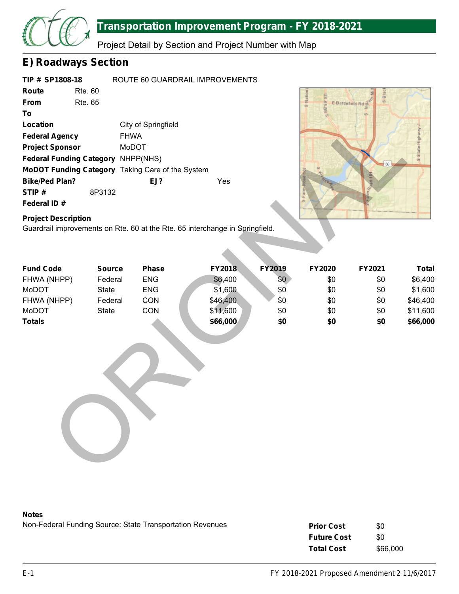

# **Transportation Improvement Program - FY 2018-2021**

Project Detail by Section and Project Number with Map

## **E) Roadways Section**

|             | TIP # SP1808-18                           | ROUTE 60 GUARDRAIL IMPROVEMENTS                         |     |
|-------------|-------------------------------------------|---------------------------------------------------------|-----|
| Route       | <b>Rte. 60</b>                            |                                                         |     |
| <b>From</b> | Rte. 65                                   |                                                         |     |
| Τo          |                                           |                                                         |     |
| Location    |                                           | City of Springfield                                     |     |
|             | <b>Federal Agency</b>                     | <b>FHWA</b>                                             |     |
|             | <b>Project Sponsor</b>                    | MoDOT                                                   |     |
|             | <b>Federal Funding Category NHPP(NHS)</b> |                                                         |     |
|             |                                           | <b>MoDOT Funding Category</b> Taking Care of the System |     |
|             | <b>Bike/Ped Plan?</b>                     | EJ?                                                     | Yes |
| STIP#       | 8P3132                                    |                                                         |     |
| Federal ID# |                                           |                                                         |     |



## **Project Description**

| Location                                                                                                   |               | City of Springfield |          |        |        |        |                   |
|------------------------------------------------------------------------------------------------------------|---------------|---------------------|----------|--------|--------|--------|-------------------|
| <b>Federal Agency</b>                                                                                      | <b>FHWA</b>   |                     |          |        |        |        | S State Highway J |
| <b>Project Sponsor</b>                                                                                     | MoDOT         |                     |          |        |        |        |                   |
| Federal Funding Category NHPP(NHS)                                                                         |               |                     |          |        |        | 60     |                   |
| MoDOT Funding Category Taking Care of the System                                                           |               |                     |          |        |        |        |                   |
| <b>Bike/Ped Plan?</b>                                                                                      |               | EJ?                 | Yes      |        |        |        |                   |
| STIP#                                                                                                      | 8P3132        |                     |          |        |        |        |                   |
| Federal ID#                                                                                                |               |                     |          |        |        |        |                   |
| <b>Project Description</b><br>Guardrail improvements on Rte. 60 at the Rte. 65 interchange in Springfield. |               |                     |          |        |        |        |                   |
| <b>Fund Code</b>                                                                                           | <b>Source</b> | <b>Phase</b>        | FY2018   | FY2019 | FY2020 | FY2021 | <b>Total</b>      |
| FHWA (NHPP)                                                                                                | Federal       | <b>ENG</b>          | \$6,400  | \$0    | \$0    | \$0    | \$6,400           |
| MoDOT                                                                                                      | State         | <b>ENG</b>          | \$1,600  | \$0    | \$0    | \$0    | \$1,600           |
| FHWA (NHPP)                                                                                                | Federal       | CON                 | \$46,400 | \$0    | \$0    | \$0    | \$46,400          |
| MoDOT                                                                                                      | <b>State</b>  | CON                 | \$11,600 | \$0    | \$0    | \$0    | \$11,600          |
| <b>Totals</b>                                                                                              |               |                     | \$66,000 | \$0    | \$0    | \$0    | \$66,000          |
|                                                                                                            |               |                     |          |        |        |        |                   |
|                                                                                                            |               |                     |          |        |        |        |                   |

### **Notes**

Non-Federal Funding Source: State Transportation Revenues \$0

| <b>Prior Cost</b>  | \$0      |
|--------------------|----------|
| <b>Future Cost</b> | \$0      |
| <b>Total Cost</b>  | \$66,000 |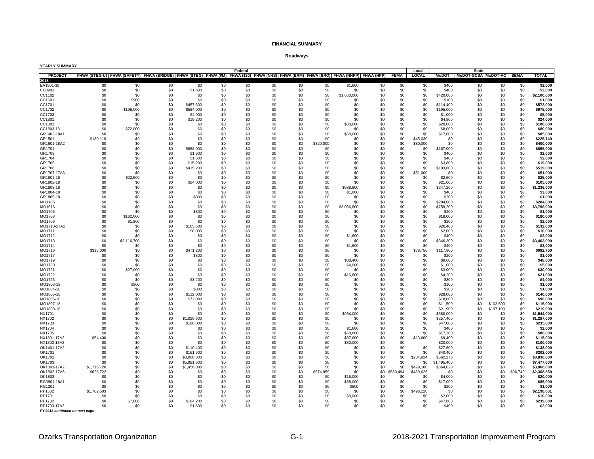#### **Roadways**

| <b>YEARLY SUMMARY</b> |                                                                                                                                         |             |     |             |     |         |     |     |           |             |     |           |              |             |                                |           |          |              |
|-----------------------|-----------------------------------------------------------------------------------------------------------------------------------------|-------------|-----|-------------|-----|---------|-----|-----|-----------|-------------|-----|-----------|--------------|-------------|--------------------------------|-----------|----------|--------------|
|                       |                                                                                                                                         |             |     |             |     | Federal |     |     |           |             |     |           | Local        |             | <b>State</b>                   |           |          |              |
| <b>PROJECT</b>        | FHWA (STBG-U) FHWA (SAFETY) FHWA (BRIDGE) FHWA (STBG) FHWA (WN) FHWA (130) FHWA (NHS) FHWA (BRM) FHWA (BRO) FHWA (NHPP) FHWA (HPP) FEMA |             |     |             |     |         |     |     |           |             |     |           | <b>LOCAL</b> |             | MoDOT MoDOT-GCSA MoDOT-AC SEMA |           |          | <b>TOTAL</b> |
| 2018                  |                                                                                                                                         |             |     |             |     |         |     |     |           |             |     |           |              |             |                                |           |          |              |
| BA1801-18             | \$0                                                                                                                                     | \$0         | \$0 | \$0         | \$0 | \$0     | \$0 | \$0 | \$0       | \$1,600     | \$0 | \$0       | \$0          | \$400       | \$0                            | \$0       | \$0      | \$2,000      |
| CC0901                | \$0                                                                                                                                     | \$0         | \$0 | \$1,600     | \$0 | \$0     | \$0 | \$0 | \$0       | \$0         | \$0 | \$0       | \$0          | \$400       | \$0                            | \$0       | \$0      | \$2,000      |
| CC1102                | \$0                                                                                                                                     | \$0         | \$0 | \$0         | \$0 | \$0     | \$0 | \$0 | \$0       | \$1,680,000 | \$0 | \$0       | \$0          | \$420,000   | \$0                            | \$0       | \$0      | \$2,100,000  |
| CC1601                | \$0                                                                                                                                     | \$900       | \$0 | \$0         | \$0 | \$0     | \$0 | \$0 | \$0       | \$0         | \$0 | \$0       | \$0          | \$100       | \$0                            | \$0       | \$0      | \$1,000      |
| CC1701                | \$0                                                                                                                                     | \$0         | \$0 | \$457,600   | \$0 | \$0     | \$0 | \$0 | \$0       | \$0         | \$0 | \$0       | \$0          | \$114,400   | \$0                            | \$0       | \$0      | \$572,000    |
| CC1702                | \$0                                                                                                                                     | \$196,000   | \$0 | \$584,000   | \$0 | \$0     | \$0 | \$0 | \$0       | \$0         | \$0 | \$0       | \$0          | \$195,000   | \$0                            | \$0       | \$0      | \$975,000    |
| CC1703                | \$0                                                                                                                                     | \$0         | \$0 | \$4,000     | \$0 | \$0     | \$0 | \$0 | \$0       | \$0         | \$0 | \$0       | \$0          | \$1,000     | \$0                            | \$0       | \$0      | \$5,000      |
| CC1801                | \$0                                                                                                                                     | \$0         | \$0 | \$19,200    | \$0 | \$0     | \$0 | \$0 | \$0       | \$0         | \$0 | \$0       | \$0          | \$4,800     | \$0                            | \$0       | \$0      | \$24,000     |
|                       |                                                                                                                                         |             |     |             |     |         |     |     |           |             |     |           |              |             |                                |           |          |              |
| CC1802                | \$0                                                                                                                                     | \$0         | \$0 | \$0         | \$0 | \$0     | \$0 | \$0 | \$0       | \$80,000    | \$0 | \$0       | \$0          | \$20,000    | \$0                            | \$0       | \$0      | \$100,000    |
| CC1803-18             | \$0                                                                                                                                     | \$72,000    | \$0 | \$0         | \$0 | \$0     | \$0 | \$0 | \$0       | \$0         | \$0 | \$0       | \$0          | \$8,000     | \$0                            | \$0       | \$0      | \$80,000     |
| GR1403-18A1           | \$0                                                                                                                                     | \$0         | \$0 | \$0         | \$0 | \$0     | \$0 | \$0 | \$0       | \$68,000    | \$0 | \$0       | \$0          | \$17,000    | \$0                            | \$0       | \$0      | \$85,000     |
| GR1501                | \$180,119                                                                                                                               | \$0         | \$0 | \$0         | \$0 | \$0     | \$0 | \$0 | \$0       | \$0         | \$0 | \$0       | \$45,030     | \$0         | \$0                            | \$0       | \$0      | \$225,149    |
| GR1601-18A2           | \$0                                                                                                                                     | \$0         | \$0 | \$0         | \$0 | \$0     | \$0 | \$0 | \$320,000 | \$0         | \$0 | \$0       | \$80,000     | \$0         | \$0                            | \$0       | \$0      | \$400,000    |
| GR1701                | \$0                                                                                                                                     | \$0         | \$0 | \$688,000   | \$0 | \$0     | \$0 | \$0 | \$0       | \$0         | \$0 | \$0       | \$0          | \$167,000   | \$0                            | \$0       | \$0      | \$855,000    |
| GR1703                | \$0                                                                                                                                     | \$0         | \$0 | \$1,600     | \$0 | \$0     | \$0 | \$0 | \$0       | \$0         | \$0 | \$0       | \$0          | \$400       | \$0                            | \$0       | \$0      | \$2,000      |
| GR1704                | \$0                                                                                                                                     | \$0         | \$0 | \$1,600     | \$0 | \$0     | \$0 | \$0 | \$0       | \$0         | \$0 | \$0       | \$0          | \$400       | \$0                            | \$0       | \$0      | \$2,000      |
| GR1705                | \$0                                                                                                                                     | \$0         | \$0 | \$15,200    | \$0 | \$0     | \$0 | \$0 | \$0       | \$0         | \$0 | \$0       | \$0          | \$3,800     | \$0                            | \$0       | \$0      | \$19.000     |
| GR1706                | \$0                                                                                                                                     | \$0         | \$0 | \$415,200   | \$0 | \$0     | \$0 | \$0 | \$0       | \$0         | \$0 | \$0       | \$0          | \$103,800   | \$0                            | \$0       | \$0      | \$519,000    |
| GR1707-17A6           | \$0                                                                                                                                     | \$0         | \$0 | S0          | \$0 | \$0     | \$0 | \$0 | \$0       | \$0         | \$0 | \$0       | \$51,000     | \$0         | \$0                            | \$0       | \$0      | \$51,000     |
| GR1801-18             | \$0                                                                                                                                     | \$22,500    | \$0 | \$0         | \$0 | \$0     | \$0 | \$0 | \$0       | \$0         | \$0 | \$0       | \$0          | \$2,500     | \$0                            | \$0       | \$0      | \$25,000     |
| GR1802-18             | \$0                                                                                                                                     | \$0         | \$0 | \$84,000    | \$0 | \$0     | \$0 | \$0 | \$0       | \$0         | \$0 | \$0       | \$0          | \$21,000    | \$0                            | \$0       | \$0      | \$105,000    |
|                       |                                                                                                                                         | \$0         | \$0 | \$0         | \$0 | \$0     |     |     | \$0       | \$988,800   | \$0 |           | \$0          |             |                                |           | \$0      |              |
| GR1803-18             | \$0                                                                                                                                     |             |     |             |     |         | \$0 | \$0 |           |             |     | \$0       |              | \$247,200   | \$0                            | \$0       |          | \$1,236,000  |
| GR1804-18             | \$0                                                                                                                                     | \$0         | \$0 | \$0         | \$0 | \$0     | \$0 | \$0 | \$0       | \$1,600     | \$0 | \$0       | \$0          | \$400       | \$0                            | \$0       | \$0      | \$2,000      |
| GR1805-18             | \$0                                                                                                                                     | \$0         | \$0 | \$800       | \$0 | \$0     | \$0 | \$0 | \$0       | \$0         | \$0 | \$0       | \$0          | \$200       | \$0                            | \$0       | \$0      | \$1.000      |
| MO1105                | \$0                                                                                                                                     | \$0         | \$0 | \$0         | \$0 | \$0     | \$0 | \$0 | \$0       | \$0         | \$0 | \$0       | \$0          | \$284,000   | \$0                            | \$0       | \$0      | \$284,000    |
| MO1616                | \$0                                                                                                                                     | \$0         | \$0 | \$0         | \$0 | \$0     | \$0 | \$0 | \$0       | \$3,036,800 | \$0 | \$0       | \$0          | \$759,200   | \$0                            | \$0       | \$0      | \$3,796,000  |
| MO1705                | \$0                                                                                                                                     | \$0         | \$0 | \$800       | \$0 | \$0     | \$0 | \$0 | \$0       | \$0         | \$0 | \$0       | \$0          | \$200       | \$0                            | \$0       | \$0      | \$1,000      |
| MO1708                | \$0                                                                                                                                     | \$162,000   | \$0 | \$0         | \$0 | \$0     | \$0 | \$0 | \$0       | \$0         | \$0 | \$0       | \$0          | \$18,000    | \$0                            | \$0       | \$0      | \$180,000    |
| MO1709                | \$0                                                                                                                                     | \$1,800     | \$0 | \$0         | \$0 | \$0     | \$0 | \$0 | \$0       | \$0         | \$0 | \$0       | \$0          | \$200       | \$0                            | \$0       | \$0      | \$2,000      |
| MO1710-17A2           | \$0                                                                                                                                     | \$0         | \$0 | \$105,600   | \$0 | \$0     | \$0 | \$0 | \$0       | \$0         | \$0 | \$0       | \$0          | \$26,400    | \$0                            | \$0       | \$0      | \$132.000    |
| MO1711                | \$0                                                                                                                                     | \$0         | \$0 | \$8,000     | \$0 | \$0     | \$0 | \$0 | \$0       | \$0         | \$0 | \$0       | \$0          | \$2,000     | \$0                            | \$0       | \$0      | \$10,000     |
| MO1712                | \$0                                                                                                                                     | \$0         | \$0 | \$0         | \$0 | \$0     | \$0 | \$0 | \$0       | \$1,600     | \$0 | \$0       | \$0          | \$400       | \$0                            | \$0       | \$0      | \$2,000      |
| MO1713                | \$0                                                                                                                                     | \$3,116,700 | \$0 | \$0         | \$0 | \$0     | \$0 | \$0 | \$0       | \$0         | \$0 | \$0       | \$0          | \$346,300   | \$0                            | \$0       | \$0      | \$3,463,000  |
| MO1714                | \$0                                                                                                                                     | \$0         | \$0 | \$0         | \$0 | \$0     | \$0 | \$0 | \$0       | \$1,600     | \$0 | \$0       | \$0          | \$400       | \$0                            | \$0       | \$0      | \$2,000      |
| MO1716                | \$315,000                                                                                                                               | \$0         | \$0 | \$471,200   | \$0 | \$0     | \$0 | \$0 | \$0       | \$0         | \$0 | \$0       | \$78,750     | \$117,800   | \$0                            | \$0       | \$0      | \$982,750    |
|                       |                                                                                                                                         | \$0         | \$0 |             | \$0 | \$0     | \$0 | \$0 | \$0       | \$0         |     | \$0       | \$0          |             | \$0                            | \$0       | \$0      |              |
| MO1717                | \$0                                                                                                                                     |             |     | \$800       |     |         |     |     |           |             | \$0 |           |              | \$200       |                                |           |          | \$1,000      |
| MO1719                | \$0                                                                                                                                     | \$0         | \$0 | \$0         | \$0 | \$0     | \$0 | \$0 | \$0       | \$38,400    | \$0 | \$0       | \$0          | \$9,600     | \$0                            | \$0       | \$0      | \$48,000     |
| MO1720                | \$0                                                                                                                                     | \$0         | \$0 | \$0         | \$0 | \$0     | \$0 | \$0 | \$0       | \$4,000     | \$0 | \$0       | \$0          | \$1,000     | \$0                            | \$0       | \$0      | \$5,000      |
| MO1721                | \$0                                                                                                                                     | \$27,000    | \$0 | \$0         | \$0 | \$0     | \$0 | \$0 | \$0       | \$0         | \$0 | \$0       | \$0          | \$3,000     | \$0                            | \$0       | \$0      | \$30,000     |
| MO1722                | \$0                                                                                                                                     | \$0         | \$0 | \$0         | \$0 | \$0     | \$0 | \$0 | \$0       | \$16,800    | \$0 | \$0       | \$0          | \$4,200     | \$0                            | \$0       | \$0      | \$21,000     |
| MO1723                | \$0                                                                                                                                     | \$0         | \$0 | \$3,200     | \$0 | \$0     | \$0 | \$0 | \$0       | \$0         | \$0 | \$0       | \$0          | \$800       | \$0                            | \$0       | \$0      | \$4,000      |
| MO1803-18             | \$0                                                                                                                                     | \$900       | \$0 | \$0         | \$0 | \$0     | \$0 | \$0 | \$0       | \$0         | \$0 | \$0       | \$0          | \$100       | \$0                            | \$0       | \$0      | \$1.000      |
| MO1804-18             | \$0                                                                                                                                     | \$0         | \$0 | \$800       | \$0 | \$0     | \$0 | \$0 | \$0       | \$0         | \$0 | \$0       | \$0          | \$200       | \$0                            | \$0       | \$0      | \$1,000      |
| MO1805-18             | \$0                                                                                                                                     | \$0         | \$0 | \$112,000   | \$0 | \$0     | \$0 | \$0 | \$0       | \$0         | \$0 | \$0       | \$0          | \$28,000    | \$0                            | \$0       | \$0      | \$140,000    |
| MO1806-18             | \$0                                                                                                                                     | \$0         | \$0 | \$72,000    | \$0 | \$0     | \$0 | \$0 | \$0       | \$0         | \$0 | \$0       | \$0          | \$18,000    | \$0                            | \$0       | \$0      | \$90,000     |
| MO1807-18             | \$0                                                                                                                                     | \$0         | \$0 | \$0         | \$0 | \$0     | \$0 | \$0 | \$0       | \$0         | \$0 | \$0       | \$0          | \$11,500    | \$0                            | \$103,500 | \$0      | \$115,000    |
| MO1808-18             | \$0                                                                                                                                     | \$0         | \$0 | \$0         | \$0 | \$0     | \$0 | \$0 | \$0       | \$0         | \$0 | \$0       | \$0          | \$21,900    | \$0                            | \$197,100 | \$0      | \$219,000    |
| NX1701                | \$0                                                                                                                                     | \$0         | \$0 | \$0         | \$0 | \$0     | \$0 | \$0 | \$0       | \$964,000   | \$0 | \$0       | \$0          | \$580,000   | \$0                            | \$0       | \$0      | \$1,544,000  |
| NX1702                | \$0                                                                                                                                     | \$0         | \$0 | \$1,029,600 | \$0 | \$0     | \$0 | \$0 | \$0       | \$0         | \$0 | \$0       | \$0          | \$257,400   | \$0                            | \$0       | \$0      | \$1,287,000  |
| <b>NX1703</b>         | \$0                                                                                                                                     | \$0         | \$0 | \$188,000   | \$0 | \$0     | \$0 | \$0 | \$0       | \$0         | \$0 | \$0       | \$0          | \$47,000    | \$0                            | \$0       | \$0      | \$235,000    |
| <b>NX1704</b>         | \$0                                                                                                                                     | \$0         | \$0 | \$0         | \$0 | \$0     | \$0 | \$0 | \$0       | \$1,600     | \$0 | \$0       | \$0          | \$400       | \$0                            | \$0       | \$0      | \$2,000      |
|                       |                                                                                                                                         | \$0         | \$0 | \$0         | \$0 | \$0     |     | \$0 | \$0       |             | \$0 |           |              |             |                                |           |          |              |
| <b>NX1705</b>         | \$0                                                                                                                                     |             |     |             |     |         | \$0 |     |           | \$68,800    |     | \$0       | \$0          | \$17,200    | \$0                            | \$0       | \$0      | \$86,000     |
| NX1801-17A2           | \$54,400                                                                                                                                | \$0         | \$0 | \$0         | \$0 | \$0     | \$0 | \$0 | \$0       | \$37,600    | \$0 | \$0       | \$13,600     | \$9,400     | \$0                            | \$0       | \$0      | \$115,000    |
| NX1803-18A2           | \$0                                                                                                                                     | \$0         | \$0 | \$0         | \$0 | \$0     | \$0 | \$0 | \$0       | \$80,000    | \$0 | \$0       |              | \$20,000    | \$0                            | \$0       | \$0      | \$100,000    |
| OK1401-17A2           | \$0                                                                                                                                     | \$0         | \$0 | \$110,400   | \$0 | \$0     | \$0 | \$0 | \$0       | \$0         | \$0 | \$0       | \$0          | \$27,600    | \$0                            | \$0       | \$0      | \$138,000    |
| OK1701                | \$0                                                                                                                                     | \$0         | \$0 | \$161,600   | \$0 | \$0     | \$0 | \$0 | \$0       | \$0         | \$0 | \$0       | \$0          | \$40,400    | \$0                            | \$0       | \$0      | \$202,000    |
| OK1702                | \$0                                                                                                                                     | \$0         | \$0 | \$3,068,800 | \$0 | \$0     | \$0 | \$0 | \$0       | \$0         | \$0 | \$0       | \$204,924    | \$562,276   | \$0                            | \$0       | \$0      | \$3,836,000  |
| OK1703                | \$0                                                                                                                                     | \$0         | \$0 | \$5,981,600 | \$0 | \$0     | \$0 | \$0 | \$0       | \$0         | \$0 | \$0       | \$0          | \$1,495,400 | \$0                            | \$0       | \$0      | \$7,477,000  |
| OK1801-17A2           | \$1,716,720                                                                                                                             | \$0         | \$0 | \$1,456,080 | \$0 | \$0     | \$0 | \$0 | \$0       | \$0         | \$0 | \$0       | \$429,180    | \$364,020   | \$0                            | \$0       | \$0      | \$3,966,000  |
| OK1802-17A5           | \$626,722                                                                                                                               | \$0         | \$0 | \$0         | \$0 | \$0     | \$0 | \$0 | \$574,959 | \$0         | \$0 | \$580,494 | \$489,626    | \$0         | \$0                            | \$0       | \$96,749 | \$2,368,550  |
| OK1803                | \$0                                                                                                                                     | \$0         | \$0 | \$0         | \$0 | \$0     | \$0 | \$0 | \$0       | \$16,000    | \$0 | \$0       | \$0          | \$4,000     | \$0                            | \$0       | \$0      | \$20,000     |
| RG0901-18A1           | \$0                                                                                                                                     | \$0         | \$0 | \$0         | \$0 | \$0     | \$0 | \$0 | \$0       | \$68,000    | \$0 | \$0       | \$0          | \$17,000    | \$0                            | \$0       | \$0      | \$85,000     |
| RG1201                | \$0                                                                                                                                     | \$0         | \$0 | \$0         | \$0 | \$0     | \$0 | \$0 | \$0       | \$800       | \$0 | \$0       | \$0          | \$200       | \$0                            | \$0       | \$0      | \$1,000      |
| RP1502                | \$1,702,503                                                                                                                             | \$0         | \$0 | \$0         | \$0 | \$0     | \$0 | \$0 | \$0       | \$0         | \$0 | \$0       | \$496,128    | \$0         | \$0                            | \$0       | \$0      | \$2,198,631  |
|                       |                                                                                                                                         |             |     |             |     | \$0     |     |     |           |             |     |           |              |             |                                |           |          |              |
| RP1701                | \$0                                                                                                                                     | \$0         | \$0 | \$0         | \$0 |         | \$0 | \$0 | \$0       | \$8,000     | \$0 | \$0       | \$0          | \$2,000     | \$0                            | \$0       | \$0      | \$10,000     |
| RP1702                | \$0                                                                                                                                     | \$7,000     | \$0 | \$184,200   | \$0 | \$0     | \$0 | \$0 | \$0       | \$0         | \$0 | \$0       | \$0          | \$47,800    | \$0                            | \$0       | \$0      | \$239,000    |
| RP1703-17A3           | \$0                                                                                                                                     | $\hat{S}$   | \$0 | \$1,600     | \$0 | \$0     | \$0 | \$0 | \$0       | \$0         | \$0 | \$0       | \$0          | \$400       | \$0                            | \$0       | \$0      | \$2.000      |

*FY 2018 continued on next page*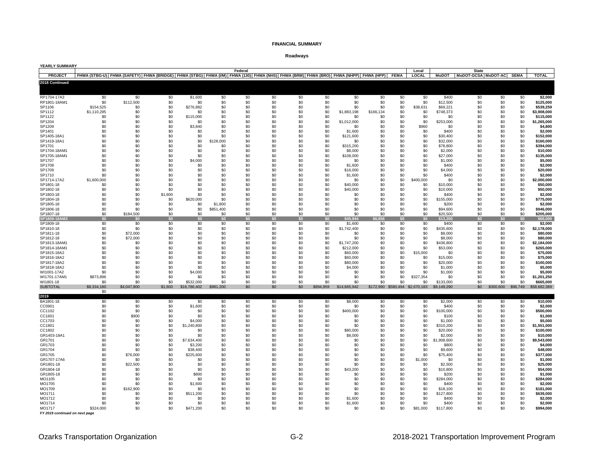#### **Roadways**

| YEARLY SUMMARY             |                          |                                                                                                                                    |            |                     |                      |            |            |            |            |                     |                  |             |                                 |                       |                                     |            |             |                          |
|----------------------------|--------------------------|------------------------------------------------------------------------------------------------------------------------------------|------------|---------------------|----------------------|------------|------------|------------|------------|---------------------|------------------|-------------|---------------------------------|-----------------------|-------------------------------------|------------|-------------|--------------------------|
| <b>PROJECT</b>             |                          | FHWA (STBG-U) FHWA (SAFETY) FHWA (BRIDGE) FHWA (STBG) FHWA (IM) FHWA (130) FHWA (NHS) FHWA (BRM) FHWA (BRO) FHWA (NHPP) FHWA (HPP) |            |                     |                      | Federal    |            |            |            |                     |                  | <b>FEMA</b> | Local<br><b>LOCAL</b>           | <b>MoDOT</b>          | <b>State</b><br>MoDOT-GCSA MoDOT-AC |            | <b>SEMA</b> | <b>TOTAL</b>             |
| 2018 Continued             |                          |                                                                                                                                    |            |                     |                      |            |            |            |            |                     |                  |             |                                 |                       |                                     |            |             |                          |
|                            |                          |                                                                                                                                    |            |                     |                      |            |            |            |            |                     |                  |             |                                 |                       |                                     |            |             |                          |
|                            |                          |                                                                                                                                    |            |                     |                      |            |            |            |            |                     |                  |             |                                 |                       |                                     |            |             |                          |
| RP1704-17A3                | \$0                      | \$0                                                                                                                                | \$0        | \$1,600             | \$0                  | \$0        | \$0        | \$0        | \$0        | \$0                 | \$0              | \$0         | \$0                             | \$400                 | \$0                                 | \$0        | \$0         | \$2,000                  |
| RP1801-18AM1               | \$0                      | \$112,500                                                                                                                          | \$0        | \$0                 | \$0                  | \$0        | \$0        | \$0        | \$0        | \$0                 | \$0              | \$0         | \$0                             | \$12,500              | \$0                                 | \$0        | \$0         | \$125,000                |
| SP1106<br>SP1112           | \$154,525<br>\$1,110,295 | \$0<br>\$0                                                                                                                         | \$0<br>\$0 | \$276,882<br>\$0    | \$0<br>\$0           | \$0<br>\$0 | \$0<br>\$0 | \$0<br>\$0 | \$0<br>\$0 | \$0<br>\$1,883,198  | \$0<br>\$166,134 | \$0<br>\$0  | \$38,631<br>\$0                 | \$69,221<br>\$748,373 | \$0<br>\$0                          | \$0<br>\$0 | \$0<br>\$0  | \$539,259<br>\$3,908,000 |
| SP1122                     | \$0                      | \$0                                                                                                                                | \$0        | \$115,000           | \$0                  | \$0        | \$0        | \$0        | \$0        | \$0                 | \$0              | \$0         | \$0                             | \$0                   | \$0                                 | \$0        | \$0         | \$115,000                |
| SP1204                     | \$0                      | \$0                                                                                                                                | \$0        | \$0                 | \$0                  | \$0        | \$0        | \$0        | \$0        | \$1,012,000         | \$0              | \$0         | \$0                             | \$253,000             | \$0                                 | \$0        | \$0         | \$1,265,000              |
| SP1209                     | \$0                      | \$0                                                                                                                                | \$0        | \$3,840             | \$0                  | \$0        | \$0        | \$0        | \$0        | \$0                 | \$0              | \$0         | \$960                           | \$0                   | \$0                                 | \$0        | \$0         | \$4,800                  |
| SP1401                     | \$0                      | \$0                                                                                                                                | \$0        | \$0                 | \$0                  | \$0        | \$0        | \$0        | \$0        | \$1,600             | \$0              | \$0         | \$0                             | \$400                 | \$0                                 | \$0        | \$0         | \$2,000                  |
| SP1405-18A1                | \$0                      | \$0                                                                                                                                | \$0        | \$0                 | \$0                  | \$0        | \$0        | \$0        | \$0        | \$121,600           | \$0              | \$0         | \$0                             | \$30,400              | \$0                                 | \$0        | \$0         | \$152,000                |
| SP1419-18A1<br>SP1701      | \$0<br>\$0               | \$0<br>\$0                                                                                                                         | \$0<br>\$0 | \$0<br>\$0          | \$128,000<br>\$0     | \$0<br>\$0 | \$0<br>\$0 | \$0<br>\$0 | \$0<br>\$0 | \$0<br>\$315,200    | \$0<br>\$0       | \$0<br>\$0  | \$0<br>\$0                      | \$32,000<br>\$78,800  | \$0<br>\$0                          | \$0<br>\$0 | \$0<br>\$0  | \$160,000<br>\$394,000   |
| SP1704-18AM1               | \$0                      | \$0                                                                                                                                | \$0        | \$0                 | \$0                  | \$0        | \$0        | \$0        | \$0        | \$8,000             | \$0              | \$0         | \$0                             | \$2,000               | \$0                                 | \$0        | \$0         | \$10,000                 |
| SP1705-18AM1               | \$0                      | \$0                                                                                                                                | \$0        | \$0                 | \$0                  | \$0        | \$0        | \$0        | \$0        | \$108,000           | \$0              | \$0         | \$0                             | \$27,000              | \$0                                 | \$0        | \$0         | \$135,000                |
| SP1707                     | \$0                      | \$0                                                                                                                                | \$0        | \$4,000             | \$0                  | \$0        | \$0        | \$0        | \$0        | \$0                 | \$0              | \$0         | \$0                             | \$1,000               | \$0                                 | \$0        | \$0         | \$5,000                  |
| SP1708                     | \$0                      | \$0                                                                                                                                | \$0        | \$0                 | \$0                  | \$0        | \$0        | \$0        | \$0        | \$1,600             | \$0              | \$0         | \$0                             | \$400                 | \$0                                 | \$0        | \$0         | \$2,000                  |
| SP1709<br>SP1710           | \$0<br>\$0               | \$0<br>\$0                                                                                                                         | \$0<br>\$0 | \$0<br>\$0          | \$0<br>\$0           | \$0<br>\$0 | \$0<br>\$0 | \$0<br>\$0 | \$0<br>\$0 | \$16,000            | \$0<br>\$0       | \$0<br>\$0  | \$0<br>\$0                      | \$4,000<br>\$400      | \$0<br>\$0                          | \$0<br>\$0 | \$0<br>\$0  | \$20,000<br>\$2.000      |
| SP1714-17A2                | \$1,600,000              | \$0                                                                                                                                | \$0        | \$0                 | \$0                  | \$0        | \$0        | \$0        | \$0        | \$1,600<br>\$0      | \$0              | \$0         | \$400,000                       | \$0                   | \$0                                 | \$0        | \$0         | \$2,000,000              |
| SP1801-18                  | \$0                      | \$0                                                                                                                                | \$0        | \$0                 | \$0                  | \$0        | \$0        | \$0        | \$0        | \$40,000            | \$0              | \$0         | \$0                             | \$10,000              | \$0                                 | \$0        | \$0         | \$50,000                 |
| SP1802-18                  | \$0                      | \$0                                                                                                                                | \$0        | \$0                 | \$0                  | \$0        | \$0        | \$0        | \$0        | \$40,000            | \$0              | \$0         | \$0                             | \$10,000              | \$0                                 | \$0        | \$0         | \$50,000                 |
| SP1803-18                  | \$0                      | \$0                                                                                                                                | \$1,600    | \$0                 | \$0                  | \$0        | \$0        | \$0        | \$0        | \$0                 | \$0              | \$0         | \$0                             | \$400                 | \$0                                 | \$0        | \$0         | \$2,000                  |
| SP1804-18                  | \$0                      | \$0                                                                                                                                | \$0        | \$620,000           | \$0                  | \$0        | \$0        | \$0        | \$0        | \$0                 | \$0              | \$0         | \$0                             | \$155,000             | \$0                                 | \$0        | \$0         | \$775,000                |
| SP1805-18<br>SP1806-18     | \$0<br>\$0               | \$0<br>\$0                                                                                                                         | \$0<br>\$0 | \$0<br>\$0          | \$1,800<br>\$851,400 | \$0<br>\$0 | \$0<br>\$0 | \$0<br>\$0 | \$0<br>\$0 | \$0<br>\$0          | \$0<br>\$0       | \$0<br>\$0  | \$0<br>\$0                      | \$200<br>\$94,600     | \$0<br>\$0                          | \$0<br>\$0 | \$0<br>\$0  | \$2,000<br>\$946,000     |
| SP1807-18                  | \$0                      | \$184,500                                                                                                                          | \$0        | \$0                 | \$0                  | \$0        | \$0        | \$0        | \$0        | \$0                 | \$0              | \$0         | \$0                             | \$20,500              | \$0                                 | \$0        | \$0         | \$205,000                |
| SP1808-18AM2               | \$0                      | \$0                                                                                                                                | \$0        | \$0                 | \$0                  | \$0        | \$0        | \$0        | \$0        | \$45.944            | 6.856            | \$0         | \$0                             | \$13.200              | \$0                                 | \$0        | \$0         | \$66,000                 |
| SP1809-18                  | \$0                      | \$0                                                                                                                                | \$0        | \$0                 | \$0                  | \$0        | \$0        | \$0        | \$0        | \$1,600             | \$0              | \$0         | \$0                             | \$400                 | \$0                                 | \$0        | \$0         | \$2,000                  |
| SP1810-18                  | \$0<br>\$0               | \$0                                                                                                                                | \$0<br>\$0 | \$0                 | \$0<br>\$0           | \$0<br>\$0 | \$0<br>\$0 | \$0<br>\$0 | \$0<br>\$0 | \$1,742,400<br>\$0  | \$0<br>\$0       | \$0<br>\$0  | \$0<br>\$0                      | \$435,600             | \$0<br>\$0                          | \$0<br>\$0 | \$0<br>\$0  | \$2,178,000              |
| SP1811-18<br>SP1812-18     | \$0                      | \$72,000<br>\$72,000                                                                                                               | \$0        | \$0<br>\$0          | \$0                  | \$0        | \$0        | \$0        | \$0        | \$0                 | \$0              | \$0         | \$0                             | \$8,000<br>\$8,000    | \$0                                 | \$0        | \$0         | \$80,000<br>\$80,000     |
| SP1813-18AM1               | \$0                      | \$0                                                                                                                                | \$0        | \$0                 | \$0                  | \$0        | \$0        | \$0        | \$0        | \$1,747,200         | \$0              | \$0         | \$0                             | \$436,800             | \$0                                 | \$0        | \$0         | \$2,184,000              |
| SP1814-18AM1               | \$0                      | \$0                                                                                                                                | \$0        | \$0                 | \$0                  | \$0        | \$0        | \$0        | \$0        | \$212,000           | \$0              | \$0         | \$0                             | \$53,000              | \$0                                 | \$0        | \$0         | \$265,000                |
| SP1815-18A2                | \$0                      | \$0                                                                                                                                | \$0        | \$0                 | \$0                  | \$0        | \$0        | \$0        | \$0        | \$60,000            | \$0              | \$0         | \$15,000                        | \$0                   | \$0                                 | \$0        | \$0         | \$75,000                 |
| SP1816-18A2                | \$0                      | \$0                                                                                                                                | \$0        | \$0                 | \$0                  | \$0        | \$0        | \$0        | \$0        | \$60,000            | \$0              | \$0         | \$0                             | \$15,000              | \$0                                 | \$0        | \$0         | \$75,000                 |
| SP1817-18A2<br>SP1818-18A2 | \$0<br>\$0               | \$0<br>\$0                                                                                                                         | \$0<br>\$0 | \$0<br>\$0          | \$0<br>\$0           | \$0<br>\$0 | \$0<br>\$0 | \$0<br>\$0 | \$0<br>\$0 | \$80,000<br>\$4,000 | \$0<br>\$0       | \$0<br>\$0  | \$0<br>\$0                      | \$20,000<br>\$1,000   | \$0<br>\$0                          | \$0<br>\$0 | \$0<br>\$0  | \$100,000<br>\$5,000     |
| WI1001-17A2                | \$0                      | \$0                                                                                                                                | \$0        | \$4,000             | \$0                  | \$0        | \$0        | \$0        | \$0        | \$0                 | \$0              | \$0         | \$0                             | \$1,000               | \$0                                 | \$0        | \$0         | \$5.000                  |
| WI1701-17AM1               | \$873,896                | \$0                                                                                                                                | \$0        | \$0                 | \$0                  | \$0        | \$0        | \$0        | \$0        | \$0                 | \$0              | \$0         | \$327,354                       | \$0                   | \$0                                 | \$0        | \$0         | \$1,201,250              |
| WI1801-18                  | \$0                      | \$0                                                                                                                                | \$0        | \$532,000           | \$0                  | \$0        | \$0        | \$0        | \$0        | \$0                 | \$0              | \$0         | \$0                             | \$133,000             | \$0                                 | \$0        | \$0         | \$665,000                |
| <b>SUBTOTAL</b>            | \$8,334,180<br>\$0       | \$4,047,800                                                                                                                        | \$1,600    | \$16,786,402        | \$981,200            | \$0        | \$0        | \$0        | \$894,959  | \$14,665,942        |                  |             | \$172,990 \$580,494 \$2,670,183 | \$9,149,290           | \$0                                 | \$300,600  | \$96,749    | \$58,682,389             |
| 2019                       |                          |                                                                                                                                    |            |                     |                      |            |            |            |            |                     |                  |             |                                 |                       |                                     |            |             |                          |
| BA1801-18                  | \$0                      | \$0                                                                                                                                | \$0        | \$0                 | \$0                  | \$0        | \$0        | \$0        | \$0        | \$8,000             | \$0              | \$0         | \$0                             | \$2,000               | \$0                                 | \$0        | \$0         | \$10,000                 |
| CC0901                     | \$0                      | \$0                                                                                                                                | \$0        | \$1,600             | \$0                  | \$0        | \$0        | \$0        | \$0        | \$0                 | \$0              | \$0         | \$0                             | \$400                 | \$0                                 | \$0        | \$0         | \$2,000                  |
| CC1102                     | \$0                      | \$0                                                                                                                                | \$0        | \$0                 | \$0                  | \$0        | \$0        | \$0        | \$0        | \$400,000           | \$0              | \$0         | \$0                             | \$100,000             | \$0                                 | \$0        | \$0         | \$500,000                |
| CC1601<br>CC1703           | \$0<br>\$0               | \$900<br>\$0                                                                                                                       | \$0<br>\$0 | \$0<br>\$4,000      | \$0<br>\$0           | \$0<br>\$0 | \$0<br>\$0 | \$0<br>\$0 | \$0<br>\$0 | \$0<br>\$0          | \$0<br>\$0       | \$0<br>\$0  | \$0<br>\$0                      | \$100<br>\$1,000      | \$0<br>\$0                          | \$0<br>\$0 | \$0<br>\$0  | \$1,000<br>\$5,000       |
| CC1801                     | \$0                      | \$0                                                                                                                                | \$0        | \$1,240,800         | \$0                  | \$0        | \$0        | \$0        | \$0        | \$0                 | \$0              | \$0         | \$0                             | \$310,200             | \$0                                 | \$0        | \$0         | \$1,551,000              |
| CC1802                     | \$0                      | \$0                                                                                                                                | \$0        | \$0                 | \$0                  | \$0        | \$0        | \$0        | \$0        | \$80,000            | \$0              | \$0         | \$0                             | \$20,000              | \$0                                 | \$0        | \$0         | \$100,000                |
| GR1403-18A1                | \$0                      | \$0                                                                                                                                | \$0        | \$0                 | \$0                  | \$0        | \$0        | \$0        | \$0        | \$8,000             | \$0              | \$0         | \$0                             | \$2,000               | \$0                                 | \$0        | \$0         | \$10,000                 |
| GR1701                     | \$0                      | \$0                                                                                                                                | \$0        | \$7,634,400         | \$0                  | \$0        | \$0        | \$0        | \$0        | \$0                 | \$0              | \$0         | \$0                             | \$1,908,600           | \$0                                 | \$0        | \$0         | \$9,543,000              |
| GR1703<br>GR1704           | \$0<br>\$0               | \$0<br>\$0                                                                                                                         | \$0<br>\$0 | \$3,200<br>\$38,400 | \$0<br>\$0           | \$0<br>\$0 | \$0<br>\$0 | \$0<br>\$0 | \$0<br>\$0 | \$0<br>\$0          | \$0<br>\$0       | \$0<br>\$0  | \$0<br>\$0                      | \$800<br>\$9,600      | \$0<br>\$0                          | \$0<br>\$0 | \$0         | \$4.000<br>\$48,000      |
| GR1705                     | \$0                      | \$76,000                                                                                                                           | \$0        | \$225,600           | \$0                  | \$0        | \$0        | \$0        | \$0        | \$0                 | \$0              | \$0         | \$0                             | \$75,400              | \$0                                 | \$0        | \$0<br>\$0  | \$377,000                |
| GR1707-17A6                | \$0                      | \$0                                                                                                                                | \$0        | \$0                 | \$0                  | \$0        | \$0        | \$0        | \$0        | \$0                 | \$0              | \$0         | \$1,000                         | \$0                   | \$0                                 | \$0        | \$0         | \$1,000                  |
| GR1801-18                  | \$0                      | \$22,500                                                                                                                           | \$0        | \$0                 | \$0                  | \$0        | \$0        | \$0        | \$0        | \$0                 | \$0              | \$0         | \$0                             | \$2,500               | \$0                                 | \$0        | \$0         | \$25.000                 |
| GR1804-18                  | \$0                      | \$0                                                                                                                                | \$0        | \$0                 | \$0                  | \$0        | \$0        | \$0        | \$0        | \$43,200            | \$0              | \$0         | \$0                             | \$10,800              | \$0                                 | \$0        | \$0         | \$54,000                 |
| GR1805-18                  | \$0                      | \$0                                                                                                                                | \$0        | \$800               | \$0                  | \$0        | \$0        | \$0        | \$0        | \$0                 | \$0              | \$0         | \$0                             | \$200                 | \$0                                 | \$0        | \$0         | \$1,000                  |
| MO1105<br>MO1705           | \$0<br>\$0               | \$0<br>\$0                                                                                                                         | \$0<br>\$0 | \$0<br>\$1,600      | \$0<br>\$0           | \$0<br>\$0 | \$0<br>\$0 | \$0<br>\$0 | \$0<br>\$0 | \$0<br>\$0          | \$0<br>\$0       | \$0<br>\$0  | \$0<br>\$0                      | \$284,000<br>\$400    | \$0<br>\$0                          | \$0<br>\$0 | \$0<br>\$0  | \$284,000<br>\$2,000     |
| MO1709                     | \$0                      | \$162,900                                                                                                                          | \$0        | \$0                 | \$0                  | \$0        | \$0        | \$0        | \$0        | \$0                 | \$0              | \$0         | \$0                             | \$18,100              | \$0                                 | \$0        | \$0         | \$181,000                |
| MO1711                     | \$0                      | \$0                                                                                                                                | \$0        | \$511,200           | \$0                  | \$0        | \$0        | \$0        | \$0        | \$0                 | \$0              | \$0         | \$0                             | \$127,800             | \$0                                 | \$0        | \$0         | \$639,000                |
| MO1712                     | \$0                      | \$0                                                                                                                                | \$0        | \$0                 | \$0                  | \$0        | \$0        | \$0        | \$0        | \$1,600             | \$0              | \$0         | \$0                             | \$400                 | \$0                                 | \$0        | \$0         | \$2,000                  |
| MO1714                     | \$0                      | \$0                                                                                                                                | \$0        | \$0                 | \$0                  | \$0        | \$0        | \$0        | \$0        | \$1,600             | \$0              | \$0         | \$0                             | \$400                 | \$0                                 | \$0        | \$0         | \$2,000                  |
| MO1717                     | \$324.000                | \$0                                                                                                                                | \$0        | \$471.200           | \$0                  | \$0        | \$0        | \$0        | \$0        | \$0                 | \$0              | \$0         | \$81,000                        | \$117,800             | \$0                                 | \$0        | \$0         | \$994.000                |

*FY 2019 continued on next page*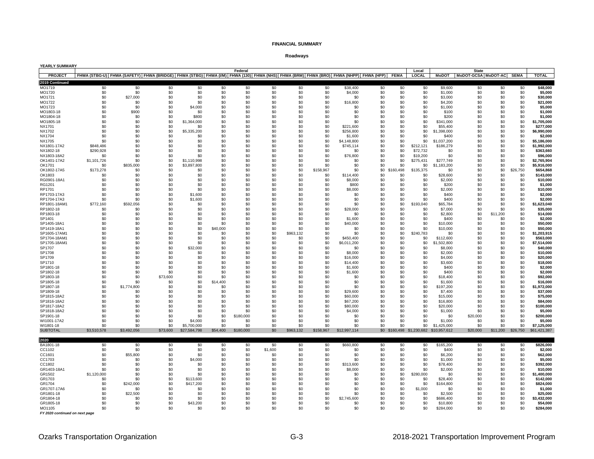#### **Roadways**

| YEARLY SUMMARY               |                    |                                                                                                                                          |                 |                        |            |            |            |                  |            |                  |            |            |                       |                                        |                                                |            |            |                          |
|------------------------------|--------------------|------------------------------------------------------------------------------------------------------------------------------------------|-----------------|------------------------|------------|------------|------------|------------------|------------|------------------|------------|------------|-----------------------|----------------------------------------|------------------------------------------------|------------|------------|--------------------------|
| <b>PROJECT</b>               |                    | FHWA (STBG-U) FHWA (SAFETY) FHWA (BRIDGE) FHWA (STBG) FHWA (I/M) FHWA (130) FHWA (NHS) FHWA (BRM) FHWA (BRO) FHWA (NHPP) FHWA (HPP) FEMA |                 |                        |            | Federal    |            |                  |            |                  |            |            | Local<br><b>LOCAL</b> |                                        | <b>State</b><br>MoDOT MoDOT-GCSA MoDOT-AC SEMA |            |            | <b>TOTAL</b>             |
| 2019 Continued               |                    |                                                                                                                                          |                 |                        |            |            |            |                  |            |                  |            |            |                       |                                        |                                                |            |            |                          |
| MO1719                       | \$0                | \$0                                                                                                                                      | \$0             | \$0                    | \$0        | \$0        | \$0        | \$0              | \$0        | \$38,400         | \$0        | \$0        | \$0                   | \$9,600                                | \$0                                            | \$0        | \$0        | \$48,000                 |
| MO1720                       | \$0                | \$0                                                                                                                                      | \$0             | \$0                    | \$0        | \$0        | \$0        | \$0              | \$0        | \$4,000          | \$0        | \$0        | \$0                   | \$1,000                                | \$0                                            | \$0        | \$0        | \$5,000                  |
| MO1721                       | \$0                | \$27,000                                                                                                                                 | \$0             | \$0                    | \$0        | \$0        | \$0        | \$0              | \$0        | \$0              | \$0        | \$0        | \$0                   | \$3,000                                | \$0                                            | \$0        | \$0        | \$30,000                 |
| MO1722                       | \$0                | \$0                                                                                                                                      | \$0             | \$0                    | \$0        | \$0        | \$0        | \$0              | \$0        | \$16,800         | \$0        | \$0        | \$0                   | \$4,200                                | \$0                                            | \$0        | \$0        | \$21,000                 |
| MO1723                       | \$0                | \$0                                                                                                                                      | \$0             | \$4,000                | \$0        | \$0        | \$0        | \$0              | \$0        | \$0              | \$0        | \$0        | \$0                   | \$1,000                                | \$0                                            | \$0        | \$0        | \$5,000                  |
| MO1803-18                    | \$0                | \$900                                                                                                                                    | \$0             | \$0                    | \$0        | \$0        | \$0        | \$0              | \$0        | \$0              | \$0        | \$0        | \$0                   | \$100                                  | \$0                                            | \$0        | \$0        | \$1,000                  |
| MO1804-18<br>MO1805-18       | \$0<br>\$0         | \$0<br>\$0                                                                                                                               | \$0<br>\$0      | \$800<br>\$1,364,000   | \$0<br>\$0 | \$0<br>\$0 | \$0<br>\$0 | \$0<br>\$0       | \$0<br>\$0 | \$0<br>\$0       | \$0<br>\$0 | \$0<br>\$0 | \$0<br>\$0            | \$200<br>\$341,000                     | \$0<br>\$0                                     | \$0<br>\$0 | \$0<br>\$0 | \$1.000<br>\$1,705,000   |
| NX1701                       | \$0                | \$0                                                                                                                                      | \$0             | \$0                    | \$0        | \$0        | \$0        | \$0              | \$0        | \$221,600        | \$0        | \$0        | \$0                   | \$55,400                               | \$0                                            | \$0        | \$0        | \$277,000                |
| NX1702                       | \$0                | \$0                                                                                                                                      | \$0             | \$5,335,200            | \$0        | \$0        | \$0        | \$0              | \$0        | \$256,800        | \$0        | \$0        | \$0                   | \$1,398,000                            | \$0                                            | \$0        | \$0        | \$6,990,000              |
| <b>NX1704</b>                | \$0                | \$0                                                                                                                                      | \$0             | \$0                    | \$0        | \$0        | \$0        | \$0              | \$0        | \$1,600          | \$0        | \$0        | \$0                   | \$400                                  | \$0                                            | \$0        | \$0        | \$2,000                  |
| <b>NX1705</b>                | \$0                | \$0                                                                                                                                      | \$0             | \$0                    | \$0        | \$0        | \$0        | \$0              | \$0        | \$4,148,800      | \$0        | \$0        | \$0                   | \$1,037,200                            | \$0                                            | \$0        | \$0        | \$5.186.000              |
| NX1801-17A2                  | \$848,486          | \$0                                                                                                                                      | \$0             | \$0                    | \$0        | \$0        | \$0        | \$0              | \$0        | \$745,114        | \$0        | \$0        | \$212.121             | \$186,279                              | \$0                                            | \$0        | \$0        | \$1,992,000              |
| NX1802-18                    | \$290,928          | \$0                                                                                                                                      | \$0             | \$0                    | \$0        | \$0        | \$0        | \$0              | \$0        | \$0              | \$0        | \$0        | \$72,732              | \$0                                    | \$0                                            | \$0        | \$0        | \$363.660                |
| NX1803-18A2<br>OK1401-17A2   | \$0<br>\$1,101,726 | \$0<br>\$0                                                                                                                               | \$0<br>\$0      | \$0<br>\$1,110,998     | \$0<br>\$0 | \$0<br>\$0 | \$0<br>\$0 | \$0<br>\$0       | \$0<br>\$0 | \$76,800<br>\$0  | \$0<br>\$0 | \$0<br>\$0 | \$19,200<br>\$275,431 | \$0<br>\$277.749                       | \$0<br>\$0                                     | \$0<br>\$0 | \$0<br>\$0 | \$96,000<br>\$2,765,904  |
| OK1701                       | \$0                | \$835,000                                                                                                                                | \$0             | \$3,897,800            | \$0        | \$0        | \$0        | \$0              | \$0        | \$0              | \$0        | \$0        | \$0                   | \$1,183,200                            | \$0                                            | \$0        | \$0        | \$5,916,000              |
| OK1802-17A5                  | \$173,278          | \$0                                                                                                                                      | \$0             | <b>\$0</b>             | \$0        | \$0        | \$0        | \$0              | \$158,967  | \$0              | \$0        | \$160,498  | \$135,375             | \$0                                    | \$0                                            | \$0        | \$26,750   | \$654.868                |
| OK1803                       | \$0                | \$0                                                                                                                                      | \$0             | \$0                    | \$0        | \$0        | \$0        | \$0              | \$0        | \$114,400        | \$0        | \$0        | \$0                   | \$28,600                               | \$0                                            | \$0        | \$0        | \$143,000                |
| RG0901-18A1                  | \$0                | \$0                                                                                                                                      | \$0             | \$0                    | \$0        | \$0        | \$0        | \$0              | \$0        | \$8,000          | \$0        | \$0        | \$0                   | \$2,000                                | \$0                                            | \$0        | \$0        | \$10,000                 |
| RG1201                       | \$0                | \$0                                                                                                                                      | \$0             | \$0                    | \$0        | \$0        | \$0        | \$0              | \$0        | \$800            | \$0        | \$0        | \$0                   | \$200                                  | \$0                                            | \$0        | \$0        | \$1,000                  |
| RP1701                       | \$0                | \$0                                                                                                                                      | \$0             | \$0                    | \$0        | \$0        | \$0        | \$0              | \$0        | \$8,000          | \$0        | \$0        | \$0                   | \$2,000                                | \$0                                            | \$0        | \$0        | \$10.000                 |
| RP1703-17A3<br>RP1704-17A3   | \$0<br>\$0         | \$0<br>\$0                                                                                                                               | \$0<br>\$0      | \$1,600<br>\$1,600     | \$0<br>\$0 | \$0<br>\$0 | \$0<br>\$0 | \$0<br>\$0       | \$0<br>\$0 | \$0<br>\$0       | \$0<br>\$0 | \$0<br>\$0 | \$0<br>\$0            | \$400<br>\$400                         | \$0<br>\$0                                     | \$0<br>\$0 | \$0<br>\$0 | \$2,000<br>\$2,000       |
| RP1801-18AM1                 | \$772,160          | \$592,056                                                                                                                                | \$0             | \$0                    | \$0        | \$0        | \$0        | \$0              | \$0        | \$0              | \$0        | \$0        | \$193,040             | \$65,784                               | \$0                                            | \$0        | \$0        | \$1,623,040              |
| RP1802-18                    | \$0                | \$0                                                                                                                                      | \$0             | \$0                    | \$0        | \$0        | \$0        | \$0              | \$0        | \$28,000         | \$0        | \$0        | \$0                   | \$7,000                                | \$0                                            | \$0        | \$0        | \$35,000                 |
| RP1803-18                    | \$0                | \$0                                                                                                                                      | \$0             | \$0                    | \$0        | \$0        | \$0        | \$0              | \$0        | \$0              | \$0        | \$0        | \$0                   | \$2,800                                | \$0                                            | \$11,200   | \$0        | \$14,000                 |
| SP1401                       | \$0                | \$0                                                                                                                                      | \$0             | \$0                    | \$0        | \$0        | \$0        | \$0              | \$0        | \$1,600          | \$0        | \$0        | \$0                   | \$400                                  | \$0                                            | \$0        | \$0        | \$2,000                  |
| SP1405-18A1                  | \$0                | \$0                                                                                                                                      | \$0             | \$0                    | \$0        | \$0        | \$0        | \$0              | \$0        | \$40,000         | \$0        | \$0        | \$0                   | \$10,000                               | \$0                                            | \$0        | \$0        | \$50,000                 |
| SP1419-18A1                  | \$0                | \$0                                                                                                                                      | \$0             | \$0                    | \$40,000   | \$0        | \$0        | \$0              | \$0        | \$0              | \$0        | \$0        | \$0                   | \$10,000                               | \$0                                            | \$0        | \$0        | \$50,000                 |
| SP1605-17AM1<br>SP1704-18AM1 | \$0<br>\$0         | \$0<br>\$0                                                                                                                               | \$0<br>\$0      | \$0<br>\$0             | \$0<br>\$0 | \$0<br>\$0 | \$0<br>\$0 | \$963,132<br>\$0 | \$0<br>\$0 | \$0<br>\$450,400 | \$0<br>\$0 | \$0<br>\$0 | \$240,783<br>\$0      | \$0<br>\$112,600                       | \$0<br>\$0                                     | \$0<br>\$0 | \$0<br>\$0 | \$1,203,915<br>\$563.000 |
| SP1705-18AM1                 | \$0                | \$0                                                                                                                                      | \$0             | \$0                    | \$0        | \$0        | \$0        | \$0              | \$0        | \$6,011,200      | \$0        | \$0        | \$0                   | 502,800<br>-98                         | \$0                                            | \$0        | \$0        | \$7,514,000              |
| SP1707                       | \$0                | \$0                                                                                                                                      | \$0             | \$32,000               | \$0        | \$0        | \$0        | \$0              | \$0        | \$0              | \$0        | \$0        | \$0                   | \$8.000                                | \$0                                            | \$0        | \$0        | \$40,000                 |
| SP1708                       | \$0                | \$0                                                                                                                                      | \$0             | \$0                    | \$0        | \$0        | \$0        | \$0              | \$0        | \$8,000          | \$0        | \$0        | \$0                   | \$2,000                                | \$0                                            | \$0        | \$0        | \$10,000                 |
| SP1709                       | \$0                | \$0                                                                                                                                      | \$0             | \$0                    | \$0        | \$0        | \$0        | \$0              | \$0        | \$16,000         | \$0        | \$0        | \$0                   | \$4.000                                | \$0                                            | \$0        | \$0        | \$20,000                 |
| SP1710                       | \$0                | \$0                                                                                                                                      | \$0             | \$0                    | \$0        | \$0        | \$0        | \$0              | \$0        | \$14,400         | \$0        | \$0        | \$0                   | \$3,600                                | \$0                                            | \$0        | \$0        | \$18,000                 |
| SP1801-18                    | \$0                | \$0                                                                                                                                      | \$0             | \$0                    | \$0        | \$0        | \$0        | \$0              | \$0        | \$1,600          | \$0        | \$0        | \$0                   | \$400                                  | \$0                                            | \$0        | \$0        | \$2.000                  |
| SP1802-18<br>SP1803-18       | \$0<br>\$0         | \$0<br>\$0                                                                                                                               | \$0<br>\$73,600 | \$0<br>\$0             | \$0<br>\$0 | \$0<br>\$0 | \$0<br>\$0 | \$0<br>\$0       | \$0<br>\$0 | \$1,600<br>\$0   | \$0<br>\$0 | \$0<br>\$0 | \$0<br>\$0            | \$400<br>\$18,400                      | \$0<br>\$0                                     | \$0<br>\$0 | \$0<br>\$0 | \$2,000<br>\$92,000      |
| SP1805-18                    | \$0                | \$0                                                                                                                                      | \$0             | \$0                    | \$14,400   | \$0        | \$0        | \$0              | \$0        | \$0              | \$0        | \$0        | \$0                   | \$1,600                                | \$0                                            | \$0        | \$0        | \$16,000                 |
| SP1807-18                    | \$0                | \$1,774,800                                                                                                                              | \$0             | \$0                    | \$0        | \$0        | \$0        | \$0              | \$0        | \$0              | \$0        | \$0        | \$0                   | \$197,200                              | \$0                                            | \$0        | \$0        | \$1.972.000              |
| SP1809-18                    | \$0                | \$0                                                                                                                                      | \$0             | \$0                    | \$0        | \$0        | \$0        | \$0              | \$0        | \$29,600         | \$0        | \$0        | \$0                   | \$7.400                                | \$0                                            | \$0        | \$0        | \$37,000                 |
| SP1815-18A2                  | \$0                | \$0                                                                                                                                      | \$0             | \$0                    | \$0        | \$0        | \$0        | \$0              | \$0        | \$60,000         | \$0        | \$0        | \$0                   | \$15,000                               | \$0                                            | \$0        | \$0        | \$75,000                 |
| SP1816-18A2                  | \$0                | \$0                                                                                                                                      | \$0             | \$0                    | \$0        | \$0        | \$0        | \$0              | \$0        | \$67,200         | \$0        | \$0        | \$0                   | \$16,800                               | \$0                                            | \$0        | \$0        | \$84,000                 |
| SP1817-18A2                  | \$0<br>\$0         | \$0                                                                                                                                      | \$0<br>\$0      | \$0<br>\$0             | \$0<br>\$0 | \$0<br>\$0 | \$0<br>\$0 | \$0              | \$0<br>\$0 | \$80,000         | \$0<br>\$0 | \$0<br>\$0 | \$0<br>\$0            | \$20,000                               | \$0<br>\$0                                     | \$0<br>\$0 | \$0<br>\$0 | \$100,000<br>\$5,000     |
| SP1818-18A2<br>SP1901-18     | \$0                | \$0<br>\$0                                                                                                                               | \$0             | \$0                    | \$0        | \$180,000  | \$0        | \$0<br>\$0       | \$0        | \$4,000<br>\$0   | \$0        | \$0        | \$0                   | \$1,000<br>\$0                         | \$20,000                                       | \$0        | \$0        | \$200,000                |
| WI1001-17A2                  | \$0                | \$0                                                                                                                                      | \$0             | \$4,000                | \$0        | \$0        | \$0        | \$0              | \$0        | \$0              | \$0        | \$0        | \$0                   | \$1,000                                | \$0                                            | \$0        | \$0        | \$5,000                  |
| WI1801-18                    | \$0                | \$0                                                                                                                                      | \$0             | \$5,700,000            | \$0        | \$0        | \$0        | \$0              | \$0        | \$0              | \$0        | \$0        | \$0                   | \$1,425,000                            | \$0                                            | \$0        | \$0        | \$7,125,000              |
| <b>SUBTOTAL</b>              | \$3,510,578        | \$3,492,056                                                                                                                              | \$73,600        | \$27,584,798           | \$54,400   | \$180,000  | \$0        | \$963,132        | \$158,967  | \$12,997,114     |            |            |                       | \$0 \$160,498 \$1,230,682 \$10,957,612 | \$20,000                                       | \$11,200   | \$26,750   | \$61,421,387             |
|                              |                    |                                                                                                                                          |                 |                        |            |            |            |                  |            |                  |            |            |                       |                                        |                                                |            |            |                          |
| 2020<br>BA1801-18            | \$0                | \$0                                                                                                                                      | \$0             | \$0                    | \$0        | \$0        | \$0        | \$0              | \$0        | \$660,800        | \$0        | \$0        | \$0                   | \$165,200                              | \$0                                            | \$0        | \$0        | \$826,000                |
| CC1102                       | \$0                | \$0                                                                                                                                      | \$0             | \$0                    | \$0        | \$0        | \$1,600    | \$0              | \$0        | \$0              | \$0        | \$0        | \$0                   | \$400                                  | \$0                                            | \$0        | \$0        | \$2,000                  |
| CC1601                       | \$0                | \$55,800                                                                                                                                 | \$0             | \$0                    | \$0        | \$0        | \$0        | \$0              | \$0        | \$0              | \$0        | \$0        | \$0                   | \$6,200                                | \$0                                            | \$0        | \$0        | \$62,000                 |
| CC1703                       | \$0                | \$0                                                                                                                                      | \$0             | \$4,000                | \$0        | \$0        | \$0        | \$0              | \$0        | \$0              | \$0        | \$0        | \$0                   | \$1,000                                | \$0                                            | \$0        | \$0        | \$5,000                  |
| CC1802                       | \$0                | \$0                                                                                                                                      | \$0             | \$0                    | \$0        | \$0        | \$0        | \$0              | \$0        | \$313,600        | \$0        | \$0        | \$0                   | \$78,400                               | \$0                                            | \$0        | \$0        | \$392.000                |
| GR1403-18A1                  | \$0                | \$0                                                                                                                                      | \$0             | \$0                    | \$0        | \$0        | \$0        | \$0              | \$0        | \$8,000          | \$0        | \$0        | \$0                   | \$2,000                                | \$0                                            | \$0        | \$0        | \$10,000                 |
| GR1502                       | \$1,120,000        | \$0                                                                                                                                      | \$0             | \$0                    | \$0        | \$0        | \$0        | \$0              | \$0        | \$0              | \$0        | \$0        | \$280,000             | \$0                                    | \$0                                            | \$0        | \$0        | \$1,400,000              |
| GR1703<br>GR1704             | \$0<br>\$0         | \$0<br>\$242,000                                                                                                                         | \$0<br>\$0      | \$113,600<br>\$417,200 | \$0<br>\$0 | \$0<br>\$0 | \$0<br>\$0 | \$0<br>\$0       | \$0<br>\$0 | \$0<br>\$0       | \$0<br>\$0 | \$0<br>\$0 | \$0<br>\$0            | \$28,400<br>\$164,800                  | \$0<br>\$0                                     | \$0<br>\$0 | \$0<br>\$0 | \$142,000<br>\$824,000   |
| GR1707-17A6                  | \$0                | \$0                                                                                                                                      | \$0             | \$0                    | \$0        | \$0        | \$0        | \$0              | \$0        | \$0              | \$0        | \$0        | \$1,000               | \$0                                    | \$0                                            | \$0        | \$0        | \$1.000                  |
| GR1801-18                    | \$0                | \$22,500                                                                                                                                 | \$0             | \$0                    | \$0        | \$0        | \$0        | \$0              | \$0        | \$0              | \$0        | \$0        | \$0                   | \$2,500                                | \$0                                            | \$0        | \$0        | \$25,000                 |
| GR1804-18                    | \$0                | \$0                                                                                                                                      | \$0             | \$0                    | \$0        | \$0        | \$0        | \$0              | \$0        | \$2,745,600      | \$0        | \$0        | \$0                   | \$686,400                              | \$0                                            | \$0        | \$0        | \$3,432,000              |
| GR1805-18                    | \$0                | \$0                                                                                                                                      | \$0             | \$43,200               | \$0        | \$0        | \$0        | \$0              | \$0        | \$0              | \$0        | \$0        | \$0                   | \$10,800                               | \$0                                            | \$0        | \$0        | \$54,000                 |
| MO1105                       | \$0                | \$0                                                                                                                                      | \$0             | \$0                    | \$0        | \$0        | \$0        | \$በ              | \$0        | \$0              | \$0        | \$0        | \$0                   | \$284,000                              | \$0                                            | \$0        | \$0        | \$284.000                |

*FY 2020 continued on next page*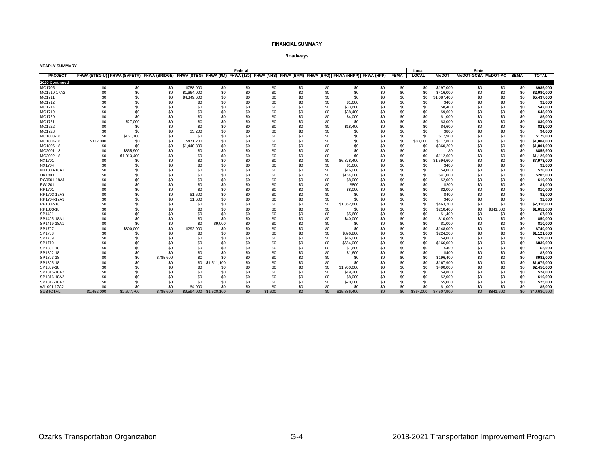#### **Roadways**

| YEARLY SUMMARY  |             |                                                                                                                                     |           |             |             |         |         |     |     |              |     |             |              |              |                     |           |             |              |
|-----------------|-------------|-------------------------------------------------------------------------------------------------------------------------------------|-----------|-------------|-------------|---------|---------|-----|-----|--------------|-----|-------------|--------------|--------------|---------------------|-----------|-------------|--------------|
|                 |             |                                                                                                                                     |           |             |             | Federal |         |     |     |              |     |             | Local        |              | <b>State</b>        |           |             |              |
| <b>PROJECT</b>  |             | FHWA (STBG-U) FHWA (SAFETY) FHWA (BRIDGE) FHWA (STBG) FHWA (I/M) FHWA (130) FHWA (NHS) FHWA (BRM) FHWA (BRO) FHWA (NHPP) FHWA (HPP) |           |             |             |         |         |     |     |              |     | <b>FEMA</b> | <b>LOCAL</b> | <b>MoDOT</b> | MoDOT-GCSA MoDOT-AC |           | <b>SEMA</b> | <b>TOTAL</b> |
| 2020 Continued  |             |                                                                                                                                     |           |             |             |         |         |     |     |              |     |             |              |              |                     |           |             |              |
| MO1705          | \$0         | \$0                                                                                                                                 | \$0       | \$788,000   | \$0         | \$0     | \$0     | \$0 | \$0 | \$0          | \$0 | \$0         | \$0          | \$197,000    | \$0                 | \$0       | \$0         | \$985.000    |
| MO1710-17A2     | \$0         | \$0                                                                                                                                 | \$0       | \$1,664,000 | \$0         | \$0     | \$0     | \$0 | \$0 | \$0          | \$0 | \$0         | \$0          | \$416,000    | \$0                 | \$0       | \$0         | \$2,080,000  |
| MO1711          | \$0         | \$0                                                                                                                                 | \$0       | \$4,349,600 | \$0         | \$0     | \$0     | \$0 | \$0 | \$0          | \$0 | \$0         | \$0          | \$1.087.400  | \$0                 | \$0       | \$0         | \$5,437,000  |
| MO1712          | \$0         | \$0                                                                                                                                 | \$0       | \$0         | \$0         | \$0     | \$0     | \$0 | \$0 | \$1,600      | \$0 | \$0         | \$0          | \$400        | \$0                 | \$0       | \$0         | \$2,000      |
| MO1714          | \$0         | \$0                                                                                                                                 | \$0       | \$0         | \$0         | \$0     | \$0     | \$0 | \$0 | \$33,600     | \$0 | \$0         | \$0          | \$8,400      | \$0                 | \$0       | \$0         | \$42,000     |
| MO1719          | \$0         | \$0                                                                                                                                 | \$0       | \$0         | \$0         | \$0     | \$0     | \$0 | \$0 | \$38,400     | \$0 | \$0         | \$0          | \$9,600      | \$0                 | \$0       | \$0         | \$48,000     |
| MO1720          | \$0         | \$0                                                                                                                                 | \$0       | \$0         | \$0         | \$0     | \$0     | \$0 | \$0 | \$4,000      | \$0 | \$0         | \$0          | \$1,000      | \$0                 | \$0       | \$0         | \$5,000      |
| MO1721          | \$0         | \$27,000                                                                                                                            | \$0       | \$0         | \$0         | \$0     | \$0     | \$0 | \$0 | \$0          | \$0 | \$0         | \$0          | \$3,000      | \$0                 | \$0       | \$0         | \$30,000     |
| MO1722          | \$0         | \$0                                                                                                                                 | \$0       | \$0         | \$0         | \$0     | \$0     | \$0 | \$0 | \$18,400     | \$0 | \$0         | \$0          | \$4,600      | \$0                 | \$0       | \$0         | \$23,000     |
| MO1723          | \$0         | \$0                                                                                                                                 | \$0       | \$3,200     | \$0         | \$0     | \$0     | \$0 | \$0 | \$0          | \$0 | \$0         | \$0          | \$800        | \$0                 | \$0       | \$0         | \$4.000      |
| MO1803-18       | \$0         | \$161,100                                                                                                                           | \$0       | \$0         | \$0         | \$0     | \$0     | \$0 | \$0 | \$0          | \$0 | \$0         | \$0          | \$17,900     | \$0                 | \$0       | \$0         | \$179,000    |
| MO1804-18       | \$332,000   | \$0                                                                                                                                 | \$0       | \$471.200   | \$0         | \$0     | \$0     | \$0 | \$0 | \$0          | \$0 | \$0         | \$83,000     | \$117,800    | \$0                 | \$0       | \$0         | \$1,004,000  |
| MO1806-18       | \$0         | \$0                                                                                                                                 | \$0       | \$1,440,800 | \$0         | \$0     | \$0     | \$0 | \$0 | \$0          | \$0 | \$0         | \$0          | \$360,200    | \$0                 | \$0       | \$0         | \$1.801.000  |
| MO2001-18       | \$0         | \$855,900                                                                                                                           | \$0       | \$0         | \$0         | \$0     | \$0     | \$0 | \$0 | \$0          | \$0 | \$0         | \$0          | \$0          | \$0                 | \$0       | \$0         | \$855,900    |
| MO2002-18       | \$0         | \$1,013,400                                                                                                                         | \$0       | \$0         | \$0         | \$0     | \$0     | \$0 | \$0 | \$0          | \$0 | \$0         | \$0          | \$112,600    | \$0                 | \$0       | \$0         | \$1,126,000  |
| <b>NX1701</b>   | \$0         | \$0                                                                                                                                 | \$0       | \$0         | \$0         | \$0     | \$0     | \$0 | \$0 | \$6,378,400  | \$0 | \$0         | \$0          | \$1,594,600  | \$0                 | \$0       | \$0         | \$7,973,000  |
| <b>NX1704</b>   | \$0         | \$0                                                                                                                                 | \$0       | \$0         | \$0         | \$0     | \$0     | \$0 | \$0 | \$1,600      | \$0 | \$0         | \$0          | \$400        | \$0                 | \$0       | \$0         | \$2,000      |
| NX1803-18A2     | \$0         | \$0                                                                                                                                 | \$0       | \$0         | \$0         | \$0     | \$0     | \$0 | \$0 | \$16,000     | \$0 | \$0         | \$0          | \$4,000      | \$0                 | \$0       | \$0         | \$20,000     |
| OK1803          | \$0         | \$0                                                                                                                                 | \$0       | \$0         | \$0         | \$0     | \$0     | \$0 | \$0 | \$164,000    | \$0 | \$0         | \$0          | \$41.000     | \$0                 | \$0       | \$0         | \$205.000    |
| RG0901-18A1     | \$0         | \$0                                                                                                                                 | \$0       | \$0         | \$0         | \$0     | \$0     | \$0 | \$0 | \$8,000      | \$0 | \$0         | \$0          | \$2,000      | \$0                 | \$0       | \$0         | \$10,000     |
| RG1201          | \$0         | \$0                                                                                                                                 | \$0       | \$0         | \$0         | \$0     | \$0     | \$0 | \$0 | \$800        | \$0 | \$0         | \$0          | \$200        | \$0                 | \$0       | \$0         | \$1,000      |
| RP1701          | \$0         | \$0                                                                                                                                 | \$0       | \$0         | \$0         | \$0     | \$0     | \$0 | \$0 | \$8,000      | \$0 | \$0         | \$0          | \$2,000      | \$0                 | \$0       | \$0         | \$10,000     |
| RP1703-17A3     | \$0         | \$0                                                                                                                                 | \$0       | \$1,600     | \$0         | \$0     | \$0     | \$0 | \$0 | \$0          | \$0 | \$0         | \$0          | \$400        | \$0                 | \$0       | \$0         | \$2,000      |
| RP1704-17A3     | \$0         | \$0                                                                                                                                 | \$0       | \$1,600     | \$0         | \$0     | \$0     | \$0 | \$0 | \$0          | \$0 | \$0         | \$0          | \$400        | \$0                 | \$0       | \$0         | \$2,000      |
| RP1802-18       | \$0         | \$0                                                                                                                                 | \$0       | \$0         | \$0         | \$0     | \$0     | \$0 | \$0 | \$1,852,800  | \$0 | \$0         | \$0          | \$463,200    | \$0                 | \$0       | \$0         | \$2,316,000  |
| RP1803-18       | \$0         | \$0                                                                                                                                 | \$0       | \$0         | \$0         | \$0     | \$0     | \$0 | \$0 | \$0          | \$0 | \$0         | \$0          | \$210,400    | \$0                 | \$841,600 | \$0         | \$1,052,000  |
| SP1401          | \$0         | \$0                                                                                                                                 | \$0       | \$0         | \$0         | \$0     | \$0     | \$0 | \$0 | \$5,600      | \$0 | \$0         | \$0          | \$1,400      | \$0                 | \$0       | \$0         | \$7,000      |
| SP1405-18A1     | \$0         | \$0                                                                                                                                 | \$0       | \$0         | \$0         | \$0     | \$0     | \$0 | \$0 | \$40,000     | \$0 | \$0         | \$0          | \$10,000     | \$0                 | \$0       | \$0         | \$50,000     |
| SP1419-18A1     | \$0         | \$0                                                                                                                                 | \$0       | \$0         | \$9,000     | \$0     | \$0     | \$0 | \$0 | \$0          | \$0 | \$0         | \$0          | \$1,000      | \$0                 | \$0       | \$0         | \$10,000     |
| SP1707          | \$0         | \$300,000                                                                                                                           | \$0       | \$292,000   | \$0         | \$0     | \$0     | \$0 | \$0 | \$0          | \$0 | \$0         | \$0          | \$148,000    | \$0                 | \$0       | \$0         | \$740,000    |
| SP1708          | \$0         | \$0                                                                                                                                 | \$0       | \$0         | \$0         | \$0     | \$0     | \$0 | \$0 | \$896,800    | \$0 | \$0         | \$0          | \$224,200    | \$0                 | \$0       | \$0         | \$1,121,000  |
| SP1709          | \$0         | \$0                                                                                                                                 | \$0       | \$0         | \$0         | \$0     | \$0     | \$0 | \$0 | \$16,000     | \$0 | \$0         | \$0          | \$4,000      | \$0                 | \$0       | \$0         | \$20,000     |
| SP1710          | \$0         | \$0                                                                                                                                 | \$0       | \$0         | \$0         | \$0     | \$0     | \$0 | \$0 | \$664,000    | \$0 | \$0         | \$0          | \$166,000    | \$0                 | \$0       | \$0         | \$830,000    |
| SP1801-18       | \$0         | \$0                                                                                                                                 | \$0       | \$0         | \$0         | \$0     | \$0     | \$0 | \$0 | \$1,600      | \$0 | \$0         | \$0          | \$400        | \$0                 | \$0       | \$0         | \$2,000      |
| SP1802-18       | \$0         | \$0                                                                                                                                 | \$0       | \$0         | \$0         | \$0     | \$0     | \$0 | \$0 | \$1,600      | \$0 | \$0         | \$0          | \$400        | \$0                 | \$0       | \$0         | \$2,000      |
| SP1803-18       | \$0         | \$0                                                                                                                                 | \$785,600 | \$0         | \$0         | \$0     | \$0     | \$0 | \$0 | \$0          | \$0 | \$0         | \$0          | \$196,400    | \$0                 | \$0       | \$0         | \$982,000    |
| SP1805-18       | \$0         | \$0                                                                                                                                 | \$0       | \$0         | \$1,511,100 | \$0     | \$0     | \$0 | \$0 | \$0          | \$0 | \$0         | \$0          | \$167,900    | \$0                 | \$0       | \$0         | \$1,679,000  |
| SP1809-18       | \$0         | \$0                                                                                                                                 | \$0       | \$0         | \$0         | \$0     | \$0     | \$0 | \$0 | \$1,960,000  | \$0 | \$0         | \$0          | \$490,000    | \$0                 | \$0       | \$0         | \$2,450,000  |
| SP1815-18A2     | \$0         | \$0                                                                                                                                 | \$0       | \$0         | \$0         | \$0     | \$0     | \$0 | \$0 | \$19,200     | \$0 | \$0         | \$0          | \$4,800      | \$0                 | \$0       | \$0         | \$24,000     |
| SP1816-18A2     | \$0         | \$0                                                                                                                                 | \$0       | \$0         | \$0         | \$0     | \$0     | \$0 | \$0 | \$8,000      | \$0 | \$0         | \$0          | \$2,000      | \$0                 | \$0       | \$0         | \$10,000     |
| SP1817-18A2     | \$0         | \$0                                                                                                                                 | \$0       | \$0         | \$0         | \$0     | \$0     | \$0 | \$0 | \$20,000     | \$0 | \$0         | \$0          | \$5,000      | \$0                 | \$0       | \$0         | \$25,000     |
| WI1001-17A2     | \$0         | \$0                                                                                                                                 | \$0       | \$4,000     | \$0         | \$0     | \$0     | \$0 | \$0 | \$0          | \$0 | \$0         | \$0          | \$1,000      | \$0                 | \$0       | \$0         | \$5,000      |
| <b>SUBTOTAL</b> | \$1,452,000 | \$2,677,700                                                                                                                         | \$785,600 | \$9,594,000 | \$1,520,100 | \$0     | \$1,600 | \$0 | \$0 | \$15,886,400 | \$0 | \$0         | \$364,000    | \$7,507,900  | \$0                 | \$841,600 | \$0         | \$40,630,900 |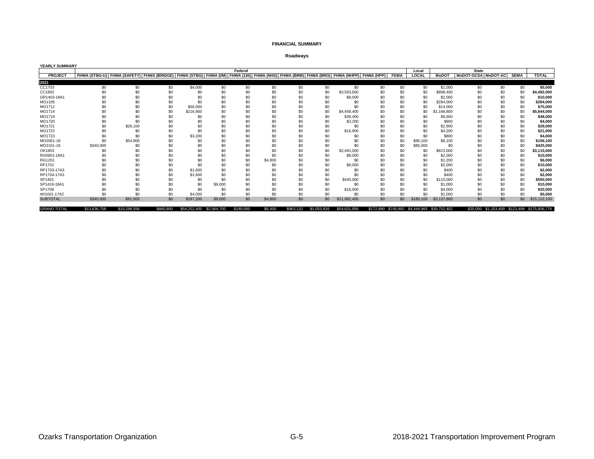#### **Roadways**

| <b>YEARLY SUMMARY</b> |                                                                                                                                                         |              |           |              |             |           |         |           |             |                 |     |             |           |                                              |                     |     |             |                                              |
|-----------------------|---------------------------------------------------------------------------------------------------------------------------------------------------------|--------------|-----------|--------------|-------------|-----------|---------|-----------|-------------|-----------------|-----|-------------|-----------|----------------------------------------------|---------------------|-----|-------------|----------------------------------------------|
|                       |                                                                                                                                                         |              |           |              |             | Federal   |         |           |             |                 |     |             | Local     |                                              | <b>State</b>        |     |             |                                              |
| PROJECT               | FHWA (STBG-U)   FHWA (SAFETY)   FHWA (BRIDGE)   FHWA (STBG)   FHWA (I/M)   FHWA (130)   FHWA (NHS)   FHWA (BRM)   FHWA (BRO)   FHWA (NHPP)   FHWA (HPP) |              |           |              |             |           |         |           |             |                 |     | <b>FEMA</b> | LOCAL     | <b>MoDOT</b>                                 | MoDOT-GCSA MoDOT-AC |     | <b>SEMA</b> | <b>TOTAL</b>                                 |
| 2021                  |                                                                                                                                                         |              |           |              |             |           |         |           |             |                 |     |             |           |                                              |                     |     |             |                                              |
| CC1703                | \$0                                                                                                                                                     | \$0          | \$0       | \$4,000      | \$0         | \$0       | \$0     | \$0       | \$0         | \$0             | \$0 | \$0         | \$0       | \$1,000                                      | \$0                 | \$0 | \$0         | \$5,000                                      |
| CC1802                |                                                                                                                                                         | \$0          | \$0       |              | \$0         | \$0       | \$0     | \$C       | \$0         | \$3,593,600     | \$0 | \$0         | \$0       | \$898,400                                    | \$C                 | \$0 | \$0         | \$4,492,000                                  |
| GR1403-18A1           |                                                                                                                                                         | \$0          |           |              | \$0         | \$0       | \$0     | \$C       | \$0         | \$8,000         | \$0 | \$0         | \$0       | \$2,000                                      | \$C                 | \$0 | \$0         | \$10,000                                     |
| MO1105                |                                                                                                                                                         |              | \$0       |              | \$0         | \$0       | \$0     | \$C       | \$0         |                 | \$0 | \$0         | \$0       | \$284.000                                    | \$0                 | \$0 | \$0         | \$284,000                                    |
| MO1712                |                                                                                                                                                         | \$ſ.         | \$0       | \$56,000     | \$0         | \$0       | \$0     | $s$ c     | \$0         | \$ſ             | \$0 | \$0         | \$0       | \$14,000                                     |                     | \$0 | \$0         | \$70,000                                     |
| MO1714                |                                                                                                                                                         | \$ſ.         | \$0       | \$216,800    | \$0         | \$0       | \$0     | \$C       | \$0         | \$4,458,400     | \$0 | \$0         | \$0       | \$1,168,800                                  | \$C                 | \$0 | \$0         | \$5,844,000                                  |
| MO1719                |                                                                                                                                                         |              |           |              |             | \$0       | \$0     | \$C       | \$0         | \$38,400        | \$0 | \$0         | \$0       | \$9,600                                      |                     | \$0 | \$0         | \$48,000                                     |
| MO1720                |                                                                                                                                                         | \$0          |           |              | \$0         | \$0       | \$0     | \$C       | \$0         | \$3,200         | \$0 | \$0         | \$0       | \$800                                        |                     |     | \$0         | \$4,000                                      |
| MO1721                |                                                                                                                                                         | \$26,100     |           |              | \$0         | \$0       | \$0     | \$C       | \$0         | \$0             | \$0 | \$0         | \$0       | \$2,900                                      | \$0                 | \$0 | \$0         | \$29,000                                     |
| MO1722                |                                                                                                                                                         | \$0          | \$0       |              | \$0         | \$0       | \$0     | \$C       | \$0         | \$16,800        | \$0 | \$0         | \$0       | \$4,200                                      |                     | \$0 | \$0         | \$21,000                                     |
| MO1723                |                                                                                                                                                         | \$0          | \$0       | \$3,200      | \$0         | \$0       | \$0     | \$C       | \$0         | \$0             | \$0 | \$0         | \$0       | \$800                                        |                     |     | \$0         | \$4,000                                      |
| MO2001-18             |                                                                                                                                                         | \$54,900     |           |              | \$0         | \$0       | \$0     | \$0       | \$0         | \$ <sub>0</sub> | \$0 | \$0         | \$95,100  | \$6,100                                      | \$0                 | \$0 | \$0         | \$156,100                                    |
| MO2101-18             | \$340,000                                                                                                                                               | \$0          |           |              | \$0         | \$0       | \$0     | \$0       | \$0         | \$0             | \$0 | \$0         | \$85,000  | \$0                                          | \$C                 | \$0 | \$0         | \$425,000                                    |
| OK1803                |                                                                                                                                                         | \$0          |           |              | \$0         | \$0       | \$0     | \$C       | \$0         | \$2,492,000     | \$0 | \$0         | \$0       | \$623,000                                    | \$C                 | \$0 | \$0         | \$3,115,000                                  |
| RG0901-18A1           |                                                                                                                                                         | \$0          |           |              | \$0         | \$0       | \$0     | \$0       |             | \$8,000         | \$0 | \$0         | \$0       | \$2,000                                      | \$C                 | \$0 | \$0         | \$10,000                                     |
| RG1201                |                                                                                                                                                         | \$0          |           |              | \$0         | \$0       | \$4,800 | \$С       | \$0         | \$0             | \$0 | \$0         | \$0       | \$1,200                                      | \$C                 | \$0 | \$0         | \$6,000                                      |
| RP1701                |                                                                                                                                                         | \$0          | \$0       |              | \$0         | \$0       | \$0     | \$C       | \$0         | \$8,000         | \$0 | \$0         | \$0       | \$2,000                                      | \$0                 | \$0 | \$0         | \$10,000                                     |
| RP1703-17A3           |                                                                                                                                                         | \$0          | \$0       | \$1,600      | \$0         | \$0       | \$0     | \$С       | \$0         | \$0             | \$0 | \$0         | \$0       | \$400                                        | \$C                 | \$0 | \$0         | \$2,000                                      |
| RP1704-17A3           |                                                                                                                                                         | \$ſ.         | \$0       | \$1,600      | \$0         | \$0       | \$0     | \$С       | \$0         | \$0             | \$0 | \$0         | \$0       | \$400                                        | \$C                 | \$0 | \$0         | \$2,000                                      |
| SP1401                |                                                                                                                                                         | \$C          | \$0       | SO.          | \$0         | \$0       | \$0     | \$C       | \$0         | \$440,000       | \$0 | \$0         | \$0       | \$110,000                                    | \$C                 | \$0 | \$0         | \$550,000                                    |
| SP1419-18A1           |                                                                                                                                                         | \$0          | \$0       | \$0          | \$9,000     | \$0       | \$0     | \$C       | \$0         | \$0             | \$0 | \$0         | \$0       | \$1,000                                      | \$C                 | \$0 | \$0         | \$10,000                                     |
| SP1709                |                                                                                                                                                         | \$0          | \$0       | \$0          | \$0         | \$0       | \$0     | \$С       | \$0         | \$16,000        | \$0 | \$0         | \$0       | \$4,000                                      | \$С                 | \$0 | \$0         | \$20,000                                     |
| WI1001-17A2           |                                                                                                                                                         | \$0          | \$0       | \$4,000      | \$0         | \$0       | \$0     | \$0       | \$0         | \$0             | \$0 | \$0         | \$0       | \$1,000                                      | \$0                 | \$0 | \$0         | \$5,000                                      |
| <b>SUBTOTAL</b>       | \$340,000                                                                                                                                               | \$81,000     | \$0       | \$287,200    | \$9,000     | \$0       | \$4,800 | \$0       | \$0         | \$11,082,400    | \$0 | \$0         | \$180,100 | \$3,137,600                                  | \$0                 | \$0 | \$0         | \$15,122,100                                 |
|                       |                                                                                                                                                         |              |           |              |             |           |         |           |             |                 |     |             |           |                                              |                     |     |             |                                              |
| <b>GRAND TOTAL</b>    | \$13,636,758                                                                                                                                            | \$10,298,556 | \$860,800 | \$54,252,400 | \$2,564,700 | \$180,000 | \$6,400 | \$963,132 | \$1,053,926 | \$54,631,856    |     |             |           | \$172,990 \$740,992 \$4,444,965 \$30,752,402 |                     |     |             | \$20,000 \$1,153,400 \$123,499 \$175,856,776 |